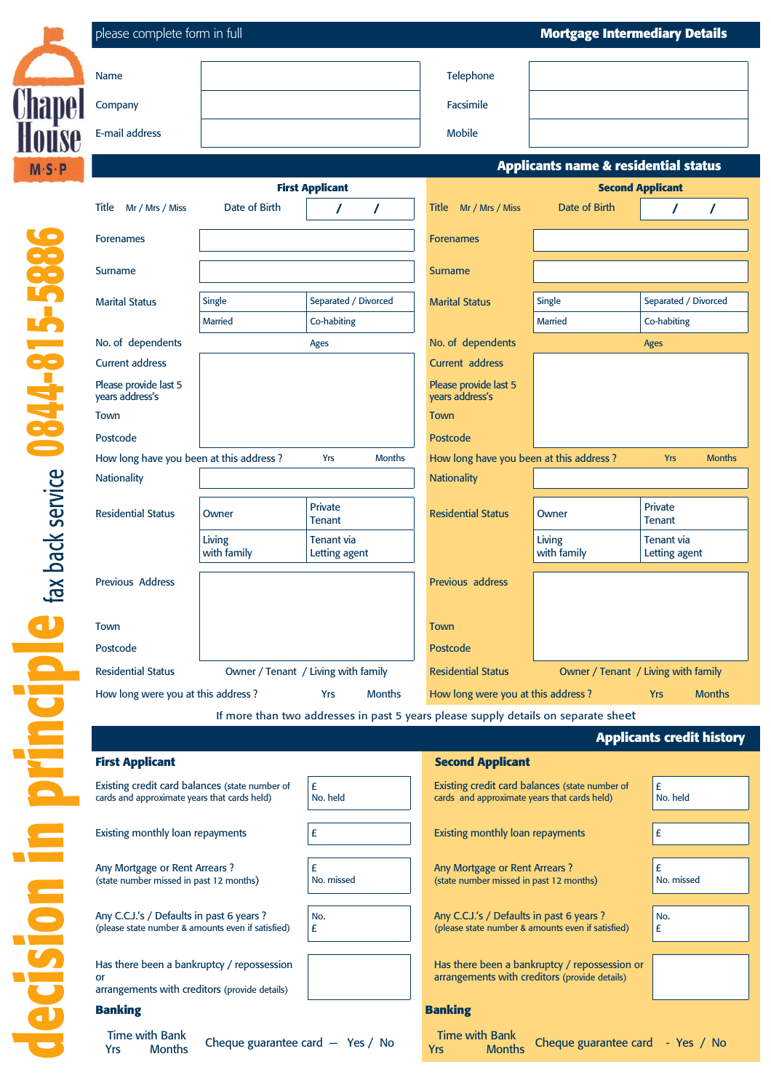|                     | please complete form in full |               | <b>Mortgage Intermediary Details</b>            |  |  |
|---------------------|------------------------------|---------------|-------------------------------------------------|--|--|
|                     | <b>Name</b>                  | Telephone     |                                                 |  |  |
| hape                | Company                      | Facsimile     |                                                 |  |  |
| <b>louse</b>        | E-mail address               | <b>Mobile</b> |                                                 |  |  |
| $M \cdot S \cdot P$ |                              |               | <b>Applicants name &amp; residential status</b> |  |  |

| Applicants name & residential status                                               |                       |                                    |                                          |                                     |                                    |  |
|------------------------------------------------------------------------------------|-----------------------|------------------------------------|------------------------------------------|-------------------------------------|------------------------------------|--|
| <b>First Applicant</b>                                                             |                       |                                    |                                          | <b>Second Applicant</b>             |                                    |  |
| Mr / Mrs / Miss<br>Title                                                           | Date of Birth         | T<br>7                             | Title Mr / Mrs / Miss                    | <b>Date of Birth</b>                | T<br>7                             |  |
| <b>Forenames</b>                                                                   |                       |                                    | <b>Forenames</b>                         |                                     |                                    |  |
| <b>Surname</b>                                                                     |                       |                                    | <b>Surname</b>                           |                                     |                                    |  |
| <b>Marital Status</b>                                                              | Single                | Separated / Divorced               | <b>Marital Status</b>                    | Single                              | Separated / Divorced               |  |
|                                                                                    | <b>Married</b>        | Co-habiting                        |                                          | <b>Married</b>                      | Co-habiting                        |  |
| No. of dependents                                                                  |                       | Ages                               | No. of dependents                        |                                     | <b>Ages</b>                        |  |
| <b>Current address</b>                                                             |                       |                                    | Current address                          |                                     |                                    |  |
| Please provide last 5<br>years address's                                           |                       |                                    | Please provide last 5<br>years address's |                                     |                                    |  |
| <b>Town</b>                                                                        |                       |                                    | Town                                     |                                     |                                    |  |
| Postcode                                                                           |                       |                                    | Postcode                                 |                                     |                                    |  |
| How long have you been at this address?                                            |                       | <b>Months</b><br>Yrs               | How long have you been at this address?  |                                     | <b>Months</b><br><b>Yrs</b>        |  |
| <b>Nationality</b>                                                                 |                       |                                    | <b>Nationality</b>                       |                                     |                                    |  |
| <b>Residential Status</b>                                                          | Owner                 | Private<br><b>Tenant</b>           | <b>Residential Status</b>                | Owner                               | Private<br><b>Tenant</b>           |  |
|                                                                                    | Living<br>with family | <b>Tenant via</b><br>Letting agent |                                          | Living<br>with family               | <b>Tenant via</b><br>Letting agent |  |
| <b>Previous Address</b>                                                            |                       |                                    | <b>Previous address</b>                  |                                     |                                    |  |
| <b>Town</b>                                                                        |                       |                                    | Town                                     |                                     |                                    |  |
| Postcode                                                                           |                       |                                    | <b>Postcode</b>                          |                                     |                                    |  |
| <b>Residential Status</b><br>Owner / Tenant / Living with family                   |                       | <b>Residential Status</b>          |                                          | Owner / Tenant / Living with family |                                    |  |
| How long were you at this address?<br><b>Months</b><br><b>Yrs</b>                  |                       | How long were you at this address? |                                          | <b>Yrs</b><br><b>Months</b>         |                                    |  |
| If more than two addresses in past 5 years please supply details on separate sheet |                       |                                    |                                          |                                     |                                    |  |
| <b>Applicants credit history</b>                                                   |                       |                                    |                                          |                                     |                                    |  |

| <b>First Applicant</b>                                                                                     |                                    | <b>Second Applicant</b>                                                                                    |                 |  |
|------------------------------------------------------------------------------------------------------------|------------------------------------|------------------------------------------------------------------------------------------------------------|-----------------|--|
| Existing credit card balances (state number of<br>cards and approximate years that cards held)             | £<br>No. held                      | Existing credit card balances (state number of<br>cards and approximate years that cards held)             | £<br>No. held   |  |
| Existing monthly loan repayments                                                                           | £                                  | Existing monthly loan repayments                                                                           | £               |  |
| Any Mortgage or Rent Arrears?<br>(state number missed in past 12 months)                                   | £<br>No. missed                    | Any Mortgage or Rent Arrears?<br>(state number missed in past 12 months)                                   | £<br>No. missed |  |
| Any C.C.J.'s / Defaults in past 6 years ?<br>No.<br>(please state number & amounts even if satisfied)<br>£ |                                    | Any C.C.J.'s / Defaults in past 6 years ?<br>No.<br>(please state number & amounts even if satisfied)<br>£ |                 |  |
| Has there been a bankruptcy / repossession<br>or<br>arrangements with creditors (provide details)          |                                    | Has there been a bankruptcy / repossession or<br>arrangements with creditors (provide details)             |                 |  |
| <b>Banking</b>                                                                                             |                                    | <b>Banking</b>                                                                                             |                 |  |
| Time with Bank<br><b>Months</b><br>Yrs                                                                     | Cheque guarantee card $-$ Yes / No | <b>Time with Bank</b><br>Cheque guarantee card - Yes / No<br><b>Months</b><br>Yrs                          |                 |  |